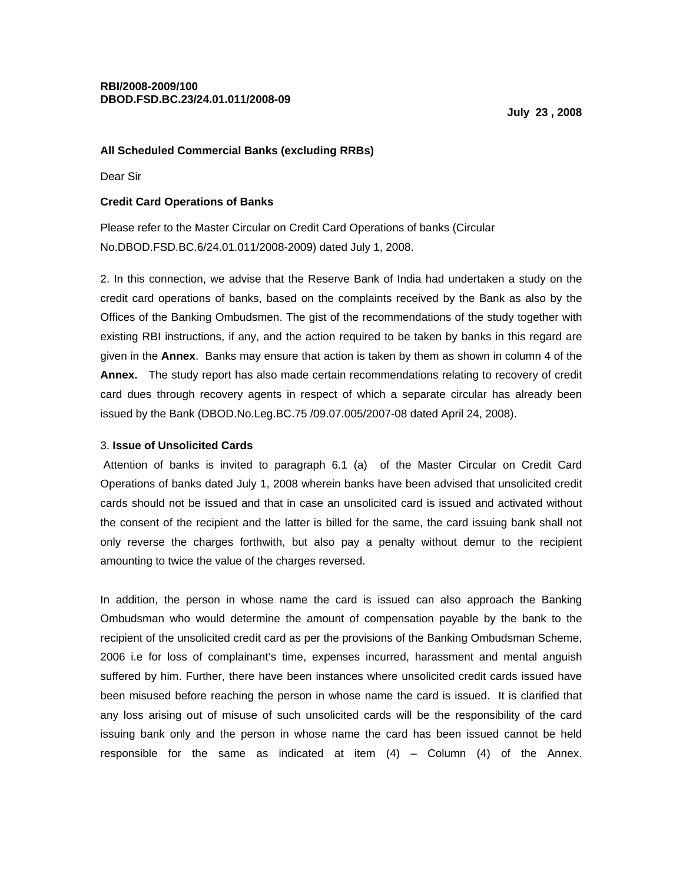## **All Scheduled Commercial Banks (excluding RRBs)**

Dear Sir

## **Credit Card Operations of Banks**

Please refer to the Master Circular on Credit Card Operations of banks (Circular No.DBOD.FSD.BC.6/24.01.011/2008-2009) dated July 1, 2008.

2. In this connection, we advise that the Reserve Bank of India had undertaken a study on the credit card operations of banks, based on the complaints received by the Bank as also by the Offices of the Banking Ombudsmen. The gist of the recommendations of the study together with existing RBI instructions, if any, and the action required to be taken by banks in this regard are given in the **Annex**. Banks may ensure that action is taken by them as shown in column 4 of the **Annex.** The study report has also made certain recommendations relating to recovery of credit card dues through recovery agents in respect of which a separate circular has already been issued by the Bank (DBOD.No.Leg.BC.75 /09.07.005/2007-08 dated April 24, 2008).

## 3. **Issue of Unsolicited Cards**

 Attention of banks is invited to paragraph 6.1 (a) of the Master Circular on Credit Card Operations of banks dated July 1, 2008 wherein banks have been advised that unsolicited credit cards should not be issued and that in case an unsolicited card is issued and activated without the consent of the recipient and the latter is billed for the same, the card issuing bank shall not only reverse the charges forthwith, but also pay a penalty without demur to the recipient amounting to twice the value of the charges reversed.

In addition, the person in whose name the card is issued can also approach the Banking Ombudsman who would determine the amount of compensation payable by the bank to the recipient of the unsolicited credit card as per the provisions of the Banking Ombudsman Scheme, 2006 i.e for loss of complainant's time, expenses incurred, harassment and mental anguish suffered by him. Further, there have been instances where unsolicited credit cards issued have been misused before reaching the person in whose name the card is issued. It is clarified that any loss arising out of misuse of such unsolicited cards will be the responsibility of the card issuing bank only and the person in whose name the card has been issued cannot be held responsible for the same as indicated at item  $(4)$  – Column  $(4)$  of the Annex.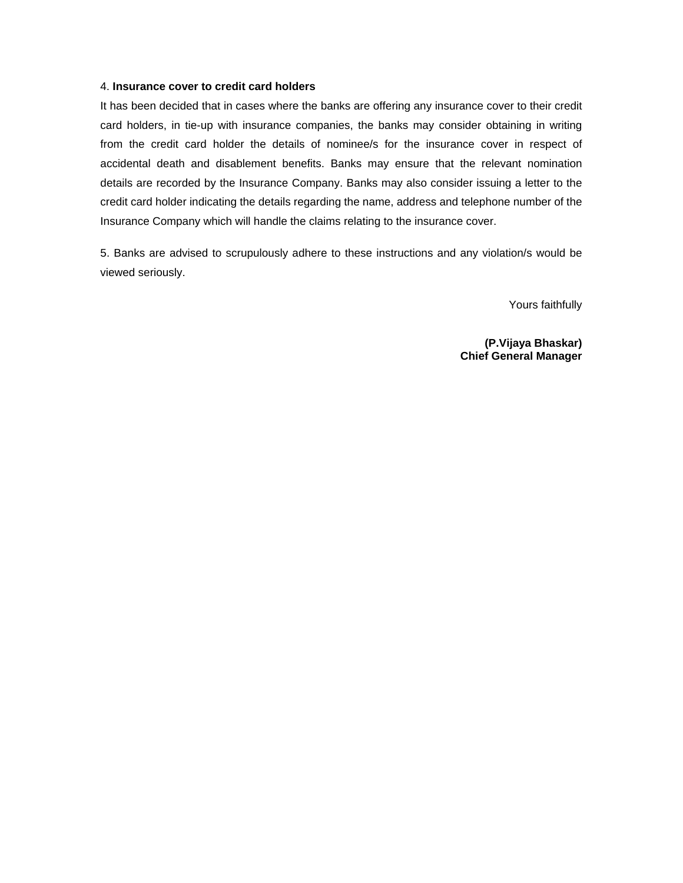## 4. **Insurance cover to credit card holders**

It has been decided that in cases where the banks are offering any insurance cover to their credit card holders, in tie-up with insurance companies, the banks may consider obtaining in writing from the credit card holder the details of nominee/s for the insurance cover in respect of accidental death and disablement benefits. Banks may ensure that the relevant nomination details are recorded by the Insurance Company. Banks may also consider issuing a letter to the credit card holder indicating the details regarding the name, address and telephone number of the Insurance Company which will handle the claims relating to the insurance cover.

5. Banks are advised to scrupulously adhere to these instructions and any violation/s would be viewed seriously.

Yours faithfully

**(P.Vijaya Bhaskar) Chief General Manager**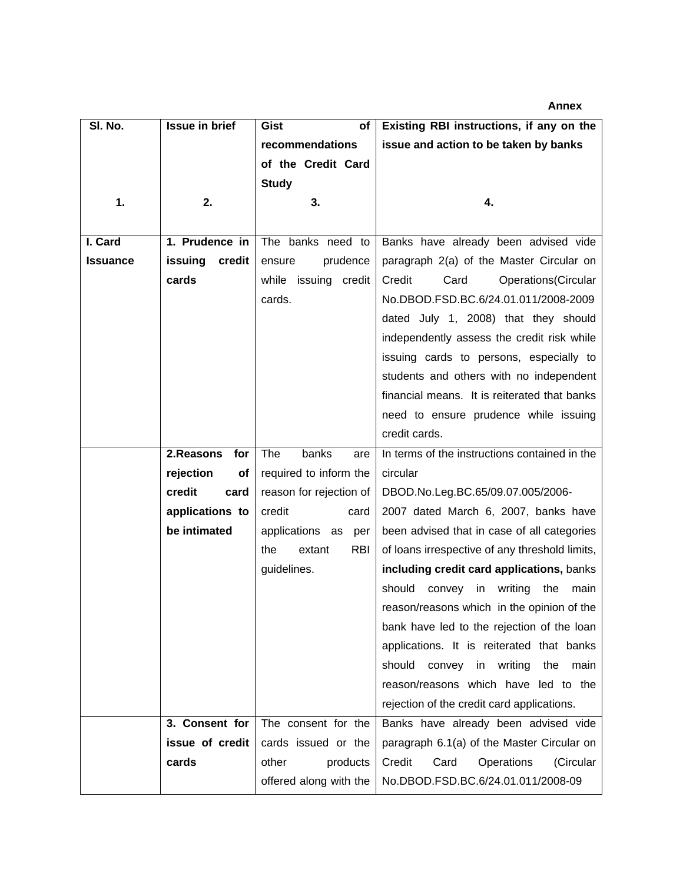**Sl. No. 1. Issue in brief 2. Gist of recommendations of the Credit Card Study 3. Existing RBI instructions, if any on the issue and action to be taken by banks 4. I. Card Issuance 1. Prudence in issuing credit cards**  The banks need to ensure prudence while issuing credit cards. Banks have already been advised vide paragraph 2(a) of the Master Circular on Credit Card Operations(Circular No.DBOD.FSD.BC.6/24.01.011/2008-2009 dated July 1, 2008) that they should independently assess the credit risk while issuing cards to persons, especially to students and others with no independent financial means. It is reiterated that banks need to ensure prudence while issuing credit cards.  **2.Reasons for rejection of credit card applications to be intimated**  The banks are required to inform the reason for rejection of credit card applications as per the extant RBI guidelines. In terms of the instructions contained in the circular DBOD.No.Leg.BC.65/09.07.005/2006- 2007 dated March 6, 2007, banks have been advised that in case of all categories of loans irrespective of any threshold limits, **including credit card applications,** banks should convey in writing the main reason/reasons which in the opinion of the bank have led to the rejection of the loan applications. It is reiterated that banks should convey in writing the main reason/reasons which have led to the rejection of the credit card applications.  **3. Consent for issue of credit cards**  The consent for the cards issued or the other products offered along with the Banks have already been advised vide paragraph 6.1(a) of the Master Circular on Credit Card Operations (Circular No.DBOD.FSD.BC.6/24.01.011/2008-09

**Annex**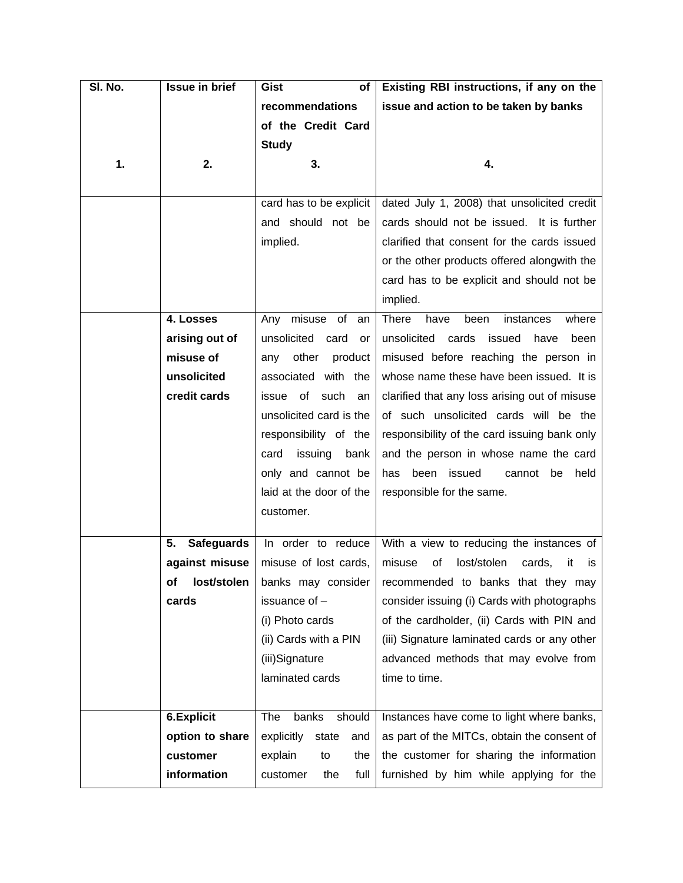| SI. No.<br><b>Issue in brief</b><br>Existing RBI instructions, if any on the<br>Gist<br>of                                                  |           |
|---------------------------------------------------------------------------------------------------------------------------------------------|-----------|
| recommendations<br>issue and action to be taken by banks                                                                                    |           |
| of the Credit Card                                                                                                                          |           |
| <b>Study</b>                                                                                                                                |           |
| 1.<br>2.<br>3.<br>4.                                                                                                                        |           |
|                                                                                                                                             |           |
| dated July 1, 2008) that unsolicited credit<br>card has to be explicit                                                                      |           |
| and should not be<br>cards should not be issued. It is further                                                                              |           |
| implied.<br>clarified that consent for the cards issued                                                                                     |           |
| or the other products offered alongwith the                                                                                                 |           |
| card has to be explicit and should not be                                                                                                   |           |
| implied.                                                                                                                                    |           |
| <b>There</b><br>misuse of<br>4. Losses<br>Any<br>have<br>instances<br>an<br>been                                                            | where     |
| arising out of<br>unsolicited card or<br>unsolicited<br>cards<br>issued<br>have                                                             | been      |
| misuse of<br>misused before reaching the person in<br>other<br>product<br>any                                                               |           |
| unsolicited<br>whose name these have been issued. It is<br>associated with the                                                              |           |
| credit cards<br>issue of<br>such<br>clarified that any loss arising out of misuse<br>an                                                     |           |
| unsolicited card is the<br>of such unsolicited cards will be the                                                                            |           |
| responsibility of the<br>responsibility of the card issuing bank only                                                                       |           |
| issuing<br>and the person in whose name the card<br>card<br>bank                                                                            |           |
| only and cannot be<br>been issued<br>cannot be<br>has                                                                                       | held      |
| laid at the door of the<br>responsible for the same.                                                                                        |           |
| customer.                                                                                                                                   |           |
|                                                                                                                                             |           |
| <b>Safeguards</b><br>In order to reduce<br>With a view to reducing the instances of<br>5.<br>misuse of lost cards,<br>misuse<br>lost/stolen |           |
| against misuse<br>of<br>cards,<br>lost/stolen<br>banks may consider<br>recommended to banks that they may                                   | it<br>İS. |
| Οf<br>issuance of -<br>consider issuing (i) Cards with photographs<br>cards                                                                 |           |
| (i) Photo cards<br>of the cardholder, (ii) Cards with PIN and                                                                               |           |
| (ii) Cards with a PIN<br>(iii) Signature laminated cards or any other                                                                       |           |
| (iii)Signature<br>advanced methods that may evolve from                                                                                     |           |
| laminated cards<br>time to time.                                                                                                            |           |
|                                                                                                                                             |           |
| 6.Explicit<br>banks<br>should<br>The<br>Instances have come to light where banks,                                                           |           |
| option to share<br>as part of the MITCs, obtain the consent of<br>explicitly<br>state<br>and                                                |           |
| customer<br>the<br>the customer for sharing the information<br>explain<br>to                                                                |           |
| information<br>full<br>furnished by him while applying for the<br>customer<br>the                                                           |           |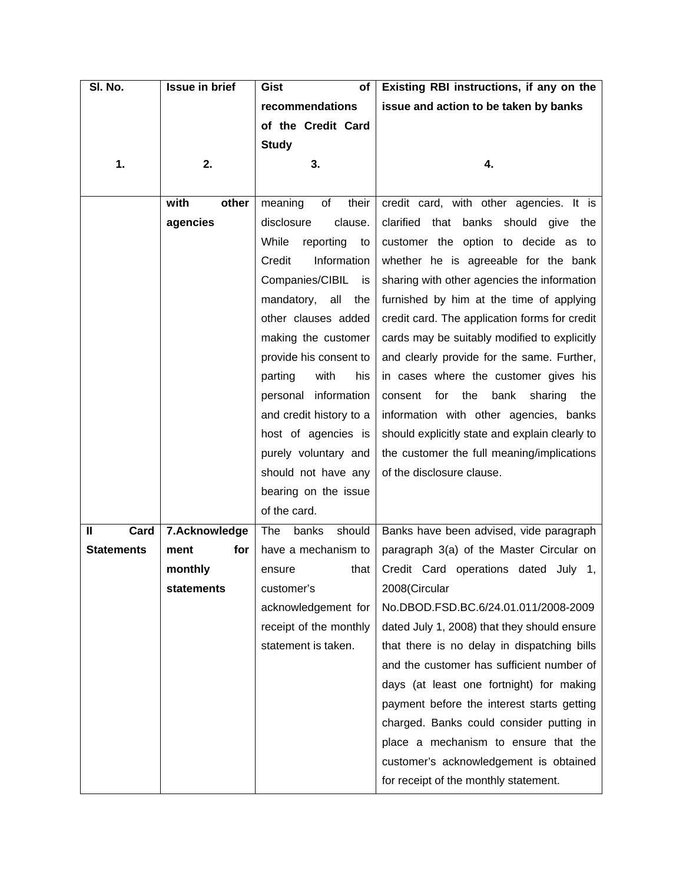| SI. No.              | <b>Issue in brief</b> | Gist<br><b>of</b>        | Existing RBI instructions, if any on the        |
|----------------------|-----------------------|--------------------------|-------------------------------------------------|
|                      |                       | recommendations          | issue and action to be taken by banks           |
|                      |                       | of the Credit Card       |                                                 |
|                      |                       | <b>Study</b>             |                                                 |
| 1.                   | 2.                    | 3.                       | 4.                                              |
|                      |                       |                          |                                                 |
|                      | with<br>other         | of<br>their<br>meaning   | credit card, with other agencies. It is         |
|                      | agencies              | disclosure<br>clause.    | clarified that banks should give the            |
|                      |                       | While<br>reporting<br>to | customer the option to decide as to             |
|                      |                       | Credit<br>Information    | whether he is agreeable for the bank            |
|                      |                       | Companies/CIBIL<br>is i  | sharing with other agencies the information     |
|                      |                       | all<br>mandatory,<br>the | furnished by him at the time of applying        |
|                      |                       | other clauses added      | credit card. The application forms for credit   |
|                      |                       | making the customer      | cards may be suitably modified to explicitly    |
|                      |                       | provide his consent to   | and clearly provide for the same. Further,      |
|                      |                       | with<br>his<br>parting   | in cases where the customer gives his           |
|                      |                       | information<br>personal  | for<br>the<br>bank<br>sharing<br>the<br>consent |
|                      |                       | and credit history to a  | information with other agencies, banks          |
|                      |                       | host of agencies is      | should explicitly state and explain clearly to  |
|                      |                       | purely voluntary and     | the customer the full meaning/implications      |
|                      |                       | should not have any      | of the disclosure clause.                       |
|                      |                       | bearing on the issue     |                                                 |
|                      |                       | of the card.             |                                                 |
| Card<br>$\mathbf{I}$ | 7.Acknowledge         | should<br>The<br>banks   | Banks have been advised, vide paragraph         |
| <b>Statements</b>    | for<br>ment           | have a mechanism to      | paragraph 3(a) of the Master Circular on        |
|                      | monthly               | that<br>ensure           | Credit Card operations dated July 1,            |
|                      | <b>statements</b>     | customer's               | 2008(Circular                                   |
|                      |                       | acknowledgement for      | No.DBOD.FSD.BC.6/24.01.011/2008-2009            |
|                      |                       | receipt of the monthly   | dated July 1, 2008) that they should ensure     |
|                      |                       | statement is taken.      | that there is no delay in dispatching bills     |
|                      |                       |                          | and the customer has sufficient number of       |
|                      |                       |                          | days (at least one fortnight) for making        |
|                      |                       |                          | payment before the interest starts getting      |
|                      |                       |                          | charged. Banks could consider putting in        |
|                      |                       |                          | place a mechanism to ensure that the            |
|                      |                       |                          | customer's acknowledgement is obtained          |
|                      |                       |                          | for receipt of the monthly statement.           |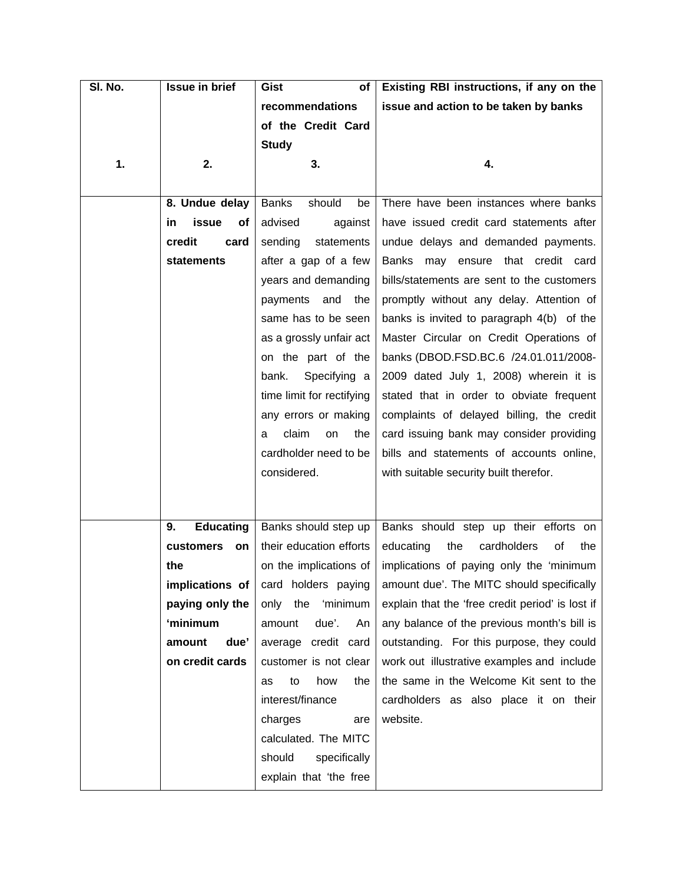| SI. No. | <b>Issue in brief</b>  | Gist<br>of                     | Existing RBI instructions, if any on the         |
|---------|------------------------|--------------------------------|--------------------------------------------------|
|         |                        | recommendations                | issue and action to be taken by banks            |
|         |                        | of the Credit Card             |                                                  |
|         |                        | <b>Study</b>                   |                                                  |
| 1.      | 2.                     | 3.                             | 4.                                               |
|         |                        |                                |                                                  |
|         | 8. Undue delay         | <b>Banks</b><br>should<br>be   | There have been instances where banks            |
|         | issue<br>in<br>оf      | advised<br>against             | have issued credit card statements after         |
|         | credit<br>card         | sending<br>statements          | undue delays and demanded payments.              |
|         | <b>statements</b>      | after a gap of a few           | Banks may ensure that credit card                |
|         |                        | years and demanding            | bills/statements are sent to the customers       |
|         |                        | and<br>payments<br>the         | promptly without any delay. Attention of         |
|         |                        | same has to be seen            | banks is invited to paragraph 4(b) of the        |
|         |                        | as a grossly unfair act        | Master Circular on Credit Operations of          |
|         |                        | on the part of the             | banks (DBOD.FSD.BC.6 /24.01.011/2008-            |
|         |                        | bank.<br>Specifying a          | 2009 dated July 1, 2008) wherein it is           |
|         |                        | time limit for rectifying      | stated that in order to obviate frequent         |
|         |                        | any errors or making           | complaints of delayed billing, the credit        |
|         |                        | claim<br>the<br><b>on</b><br>a | card issuing bank may consider providing         |
|         |                        | cardholder need to be          | bills and statements of accounts online,         |
|         |                        | considered.                    | with suitable security built therefor.           |
|         |                        |                                |                                                  |
|         |                        |                                |                                                  |
|         | <b>Educating</b><br>9. | Banks should step up           | Banks should step up their efforts on            |
|         | customers<br>on        | their education efforts        | educating<br>the<br>cardholders<br>οf<br>the     |
|         | the                    | on the implications of         | implications of paying only the 'minimum         |
|         | implications of        | card holders paying            | amount due'. The MITC should specifically        |
|         | paying only the        | 'minimum<br>only<br>the        | explain that the 'free credit period' is lost if |
|         | 'minimum               | due'.<br>amount<br>An          | any balance of the previous month's bill is      |
|         | due'<br>amount         | average credit card            | outstanding. For this purpose, they could        |
|         | on credit cards        | customer is not clear          | work out illustrative examples and include       |
|         |                        | how<br>the<br>to<br>as         | the same in the Welcome Kit sent to the          |
|         |                        | interest/finance               | cardholders as also place it on their            |
|         |                        | charges<br>are                 | website.                                         |
|         |                        | calculated. The MITC           |                                                  |
|         |                        | should<br>specifically         |                                                  |
|         |                        | explain that 'the free         |                                                  |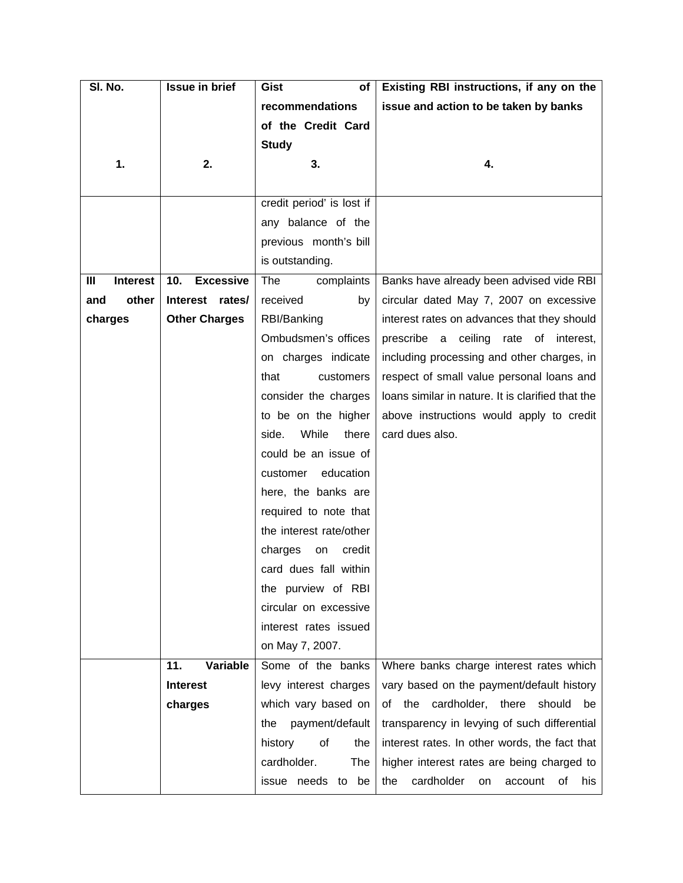| SI. No.              | <b>Issue in brief</b>   | of<br>Gist                | Existing RBI instructions, if any on the          |
|----------------------|-------------------------|---------------------------|---------------------------------------------------|
|                      |                         | recommendations           | issue and action to be taken by banks             |
|                      |                         | of the Credit Card        |                                                   |
|                      |                         | <b>Study</b>              |                                                   |
| 1.                   | 2.                      | 3.                        | 4.                                                |
|                      |                         |                           |                                                   |
|                      |                         | credit period' is lost if |                                                   |
|                      |                         | any balance of the        |                                                   |
|                      |                         | previous month's bill     |                                                   |
|                      |                         | is outstanding.           |                                                   |
| <b>Interest</b><br>Ш | 10.<br><b>Excessive</b> | complaints<br>The         | Banks have already been advised vide RBI          |
| other<br>and         | Interest rates/         | received<br>by            | circular dated May 7, 2007 on excessive           |
| charges              | <b>Other Charges</b>    | RBI/Banking               | interest rates on advances that they should       |
|                      |                         | Ombudsmen's offices       | rate of interest,<br>prescribe a ceiling          |
|                      |                         | on charges indicate       | including processing and other charges, in        |
|                      |                         | that<br>customers         | respect of small value personal loans and         |
|                      |                         | consider the charges      | loans similar in nature. It is clarified that the |
|                      |                         | to be on the higher       | above instructions would apply to credit          |
|                      |                         | While<br>there<br>side.   | card dues also.                                   |
|                      |                         | could be an issue of      |                                                   |
|                      |                         | education<br>customer     |                                                   |
|                      |                         | here, the banks are       |                                                   |
|                      |                         | required to note that     |                                                   |
|                      |                         | the interest rate/other   |                                                   |
|                      |                         | charges<br>credit<br>on   |                                                   |
|                      |                         | card dues fall within     |                                                   |
|                      |                         | the purview of RBI        |                                                   |
|                      |                         | circular on excessive     |                                                   |
|                      |                         | interest rates issued     |                                                   |
|                      |                         | on May 7, 2007.           |                                                   |
|                      | 11.<br>Variable         | Some of the banks         | Where banks charge interest rates which           |
|                      | <b>Interest</b>         | levy interest charges     | vary based on the payment/default history         |
|                      | charges                 | which vary based on       | of the cardholder, there should<br>be             |
|                      |                         | payment/default<br>the    | transparency in levying of such differential      |
|                      |                         | of<br>history<br>the      | interest rates. In other words, the fact that     |
|                      |                         | cardholder.<br>The        | higher interest rates are being charged to        |
|                      |                         | issue needs to be         | cardholder<br>the<br>account<br>his<br>οf<br>on   |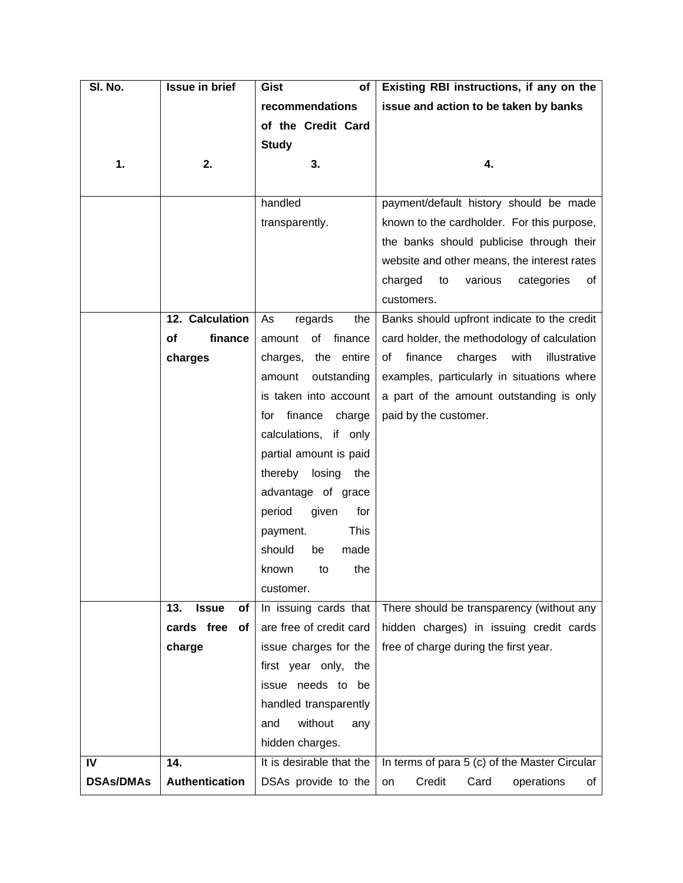| SI. No.          | <b>Issue in brief</b>     | Gist<br>of               | Existing RBI instructions, if any on the         |
|------------------|---------------------------|--------------------------|--------------------------------------------------|
|                  |                           | recommendations          | issue and action to be taken by banks            |
|                  |                           | of the Credit Card       |                                                  |
|                  |                           | <b>Study</b>             |                                                  |
| 1.               | 2.                        | 3.                       | 4.                                               |
|                  |                           |                          |                                                  |
|                  |                           | handled                  | payment/default history should be made           |
|                  |                           | transparently.           | known to the cardholder. For this purpose,       |
|                  |                           |                          | the banks should publicise through their         |
|                  |                           |                          | website and other means, the interest rates      |
|                  |                           |                          | various<br>charged<br>to<br>categories<br>οf     |
|                  |                           |                          | customers.                                       |
|                  | 12. Calculation           | regards<br>the<br>As     | Banks should upfront indicate to the credit      |
|                  | Οf<br>finance             | finance<br>of<br>amount  | card holder, the methodology of calculation      |
|                  | charges                   | charges, the entire      | finance<br>charges<br>with<br>illustrative<br>of |
|                  |                           | outstanding<br>amount    | examples, particularly in situations where       |
|                  |                           | is taken into account    | a part of the amount outstanding is only         |
|                  |                           | finance<br>charge<br>tor | paid by the customer.                            |
|                  |                           | calculations, if only    |                                                  |
|                  |                           | partial amount is paid   |                                                  |
|                  |                           | thereby losing<br>the    |                                                  |
|                  |                           | advantage of grace       |                                                  |
|                  |                           | period<br>given<br>for   |                                                  |
|                  |                           | <b>This</b><br>payment.  |                                                  |
|                  |                           | should<br>made<br>be     |                                                  |
|                  |                           | the<br>to<br>known       |                                                  |
|                  |                           | customer.                |                                                  |
|                  | 13.<br><b>Issue</b><br>of | In issuing cards that    | There should be transparency (without any        |
|                  | cards free<br>of          | are free of credit card  | hidden charges) in issuing credit cards          |
|                  | charge                    | issue charges for the    | free of charge during the first year.            |
|                  |                           | first year only, the     |                                                  |
|                  |                           | issue needs to be        |                                                  |
|                  |                           | handled transparently    |                                                  |
|                  |                           | without<br>and<br>any    |                                                  |
|                  |                           | hidden charges.          |                                                  |
| IV               | 14.                       | It is desirable that the | In terms of para 5 (c) of the Master Circular    |
| <b>DSAs/DMAs</b> | <b>Authentication</b>     | DSAs provide to the      | Credit<br>Card<br>operations<br>on<br>of         |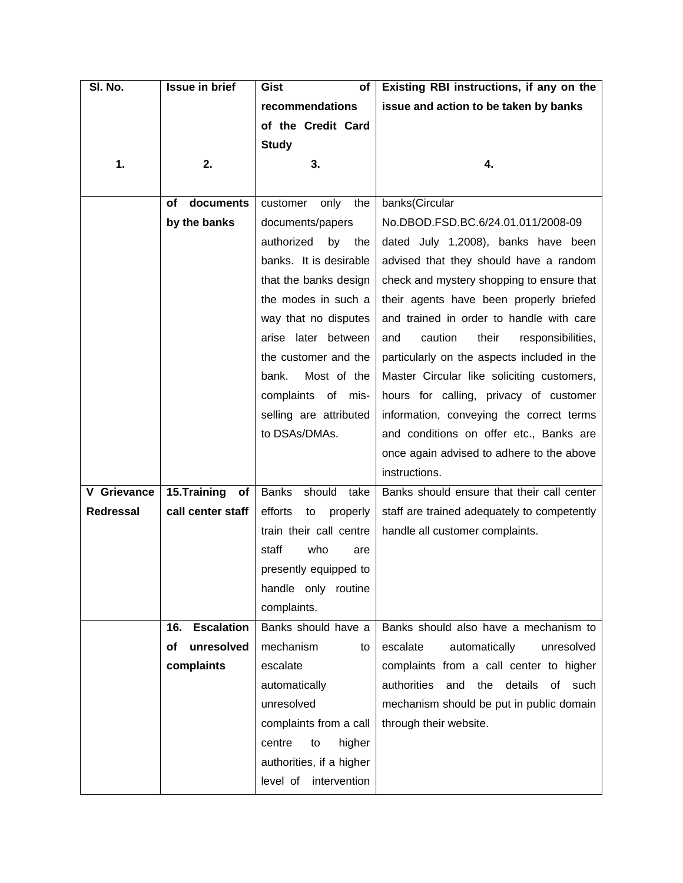| SI. No.          | <b>Issue in brief</b>    | Gist<br><b>of</b>              | Existing RBI instructions, if any on the     |
|------------------|--------------------------|--------------------------------|----------------------------------------------|
|                  |                          | recommendations                | issue and action to be taken by banks        |
|                  |                          | of the Credit Card             |                                              |
|                  |                          | <b>Study</b>                   |                                              |
| 1.               | 2.                       | 3.                             | 4.                                           |
|                  |                          |                                |                                              |
|                  | documents<br>οf          | only<br>the<br>customer        | banks(Circular                               |
|                  | by the banks             | documents/papers               | No.DBOD.FSD.BC.6/24.01.011/2008-09           |
|                  |                          | authorized<br>by<br>the        | dated July 1,2008), banks have been          |
|                  |                          | banks. It is desirable         | advised that they should have a random       |
|                  |                          | that the banks design          | check and mystery shopping to ensure that    |
|                  |                          | the modes in such a            | their agents have been properly briefed      |
|                  |                          | way that no disputes           | and trained in order to handle with care     |
|                  |                          | arise later between            | caution<br>and<br>their<br>responsibilities, |
|                  |                          | the customer and the           | particularly on the aspects included in the  |
|                  |                          | bank.<br>Most of the           | Master Circular like soliciting customers,   |
|                  |                          | complaints of mis-             | hours for calling, privacy of customer       |
|                  |                          | selling are attributed         | information, conveying the correct terms     |
|                  |                          | to DSAs/DMAs.                  | and conditions on offer etc., Banks are      |
|                  |                          |                                | once again advised to adhere to the above    |
|                  |                          |                                | instructions.                                |
| V Grievance      | 15.Training<br>of        | should<br><b>Banks</b><br>take | Banks should ensure that their call center   |
| <b>Redressal</b> | call center staff        | efforts<br>properly<br>to      | staff are trained adequately to competently  |
|                  |                          | train their call centre        | handle all customer complaints.              |
|                  |                          | staff<br>who<br>are            |                                              |
|                  |                          | presently equipped to          |                                              |
|                  |                          | handle only routine            |                                              |
|                  |                          | complaints.                    |                                              |
|                  | <b>Escalation</b><br>16. | Banks should have a            | Banks should also have a mechanism to        |
|                  | unresolved<br>οf         | mechanism<br>to                | escalate<br>unresolved<br>automatically      |
|                  | complaints               | escalate                       | complaints from a call center to higher      |
|                  |                          | automatically                  | authorities<br>and the details<br>of such    |
|                  |                          | unresolved                     | mechanism should be put in public domain     |
|                  |                          | complaints from a call         | through their website.                       |
|                  |                          | higher<br>centre<br>to         |                                              |
|                  |                          | authorities, if a higher       |                                              |
|                  |                          | intervention<br>level of       |                                              |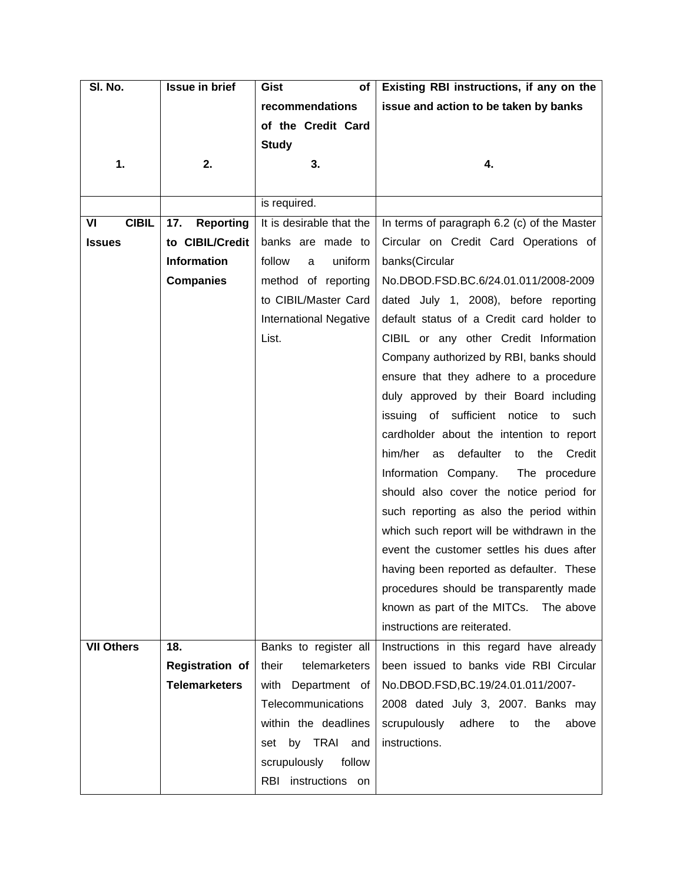| SI. No.            | <b>Issue in brief</b>   | Gist<br>of                    | Existing RBI instructions, if any on the          |
|--------------------|-------------------------|-------------------------------|---------------------------------------------------|
|                    |                         | recommendations               | issue and action to be taken by banks             |
|                    |                         | of the Credit Card            |                                                   |
|                    |                         | <b>Study</b>                  |                                                   |
| 1.                 | 2.                      | 3.                            | 4.                                                |
|                    |                         |                               |                                                   |
|                    |                         | is required.                  |                                                   |
| <b>CIBIL</b><br>VI | 17.<br><b>Reporting</b> | It is desirable that the      | In terms of paragraph 6.2 (c) of the Master       |
| <b>Issues</b>      | to CIBIL/Credit         | banks are made to             | Circular on Credit Card Operations of             |
|                    | <b>Information</b>      | follow<br>uniform<br>a        | banks(Circular                                    |
|                    | <b>Companies</b>        | method of reporting           | No.DBOD.FSD.BC.6/24.01.011/2008-2009              |
|                    |                         | to CIBIL/Master Card          | dated July 1, 2008), before reporting             |
|                    |                         | <b>International Negative</b> | default status of a Credit card holder to         |
|                    |                         | List.                         | CIBIL or any other Credit Information             |
|                    |                         |                               | Company authorized by RBI, banks should           |
|                    |                         |                               | ensure that they adhere to a procedure            |
|                    |                         |                               | duly approved by their Board including            |
|                    |                         |                               | issuing of sufficient notice<br>to<br>such        |
|                    |                         |                               | cardholder about the intention to report          |
|                    |                         |                               | him/her<br>defaulter<br>the<br>Credit<br>as<br>to |
|                    |                         |                               | Information Company.<br>The procedure             |
|                    |                         |                               | should also cover the notice period for           |
|                    |                         |                               | such reporting as also the period within          |
|                    |                         |                               | which such report will be withdrawn in the        |
|                    |                         |                               | event the customer settles his dues after         |
|                    |                         |                               | having been reported as defaulter. These          |
|                    |                         |                               | procedures should be transparently made           |
|                    |                         |                               | known as part of the MITCs. The above             |
|                    |                         |                               | instructions are reiterated.                      |
| <b>VII Others</b>  | 18.                     | Banks to register all         | Instructions in this regard have already          |
|                    | <b>Registration of</b>  | telemarketers<br>their        | been issued to banks vide RBI Circular            |
|                    | <b>Telemarketers</b>    | with Department of            | No.DBOD.FSD,BC.19/24.01.011/2007-                 |
|                    |                         | Telecommunications            | 2008 dated July 3, 2007. Banks may                |
|                    |                         | within the deadlines          | scrupulously<br>adhere<br>above<br>to<br>the      |
|                    |                         | by TRAI<br>and<br>set         | instructions.                                     |
|                    |                         | scrupulously<br>follow        |                                                   |
|                    |                         | RBI instructions on           |                                                   |